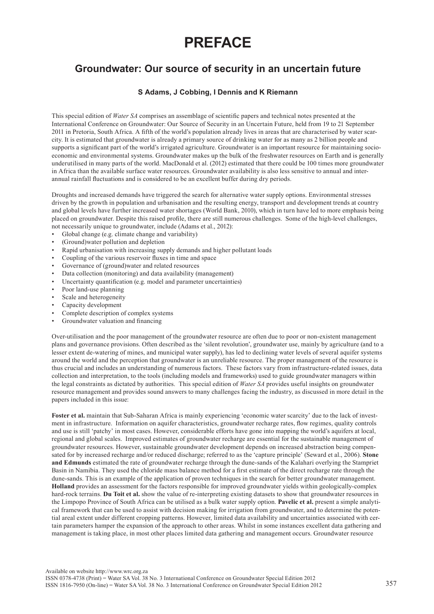## **PREFACE**

## **Groundwater: Our source of security in an uncertain future**

## **S Adams, J Cobbing, I Dennis and K Riemann**

This special edition of *Water SA* comprises an assemblage of scientific papers and technical notes presented at the International Conference on Groundwater: Our Source of Security in an Uncertain Future, held from 19 to 21 September 2011 in Pretoria, South Africa. A fifth of the world's population already lives in areas that are characterised by water scarcity. It is estimated that groundwater is already a primary source of drinking water for as many as 2 billion people and supports a significant part of the world's irrigated agriculture. Groundwater is an important resource for maintaining socioeconomic and environmental systems. Groundwater makes up the bulk of the freshwater resources on Earth and is generally underutilised in many parts of the world. MacDonald et al. (2012) estimated that there could be 100 times more groundwater in Africa than the available surface water resources. Groundwater availability is also less sensitive to annual and interannual rainfall fluctuations and is considered to be an excellent buffer during dry periods.

Droughts and increased demands have triggered the search for alternative water supply options. Environmental stresses driven by the growth in population and urbanisation and the resulting energy, transport and development trends at country and global levels have further increased water shortages (World Bank, 2010), which in turn have led to more emphasis being placed on groundwater. Despite this raised profile, there are still numerous challenges. Some of the high-level challenges, not necessarily unique to groundwater, include (Adams et al., 2012):

- Global change (e.g. climate change and variability)
- (Ground)water pollution and depletion
- Rapid urbanisation with increasing supply demands and higher pollutant loads
- Coupling of the various reservoir fluxes in time and space
- Governance of (ground)water and related resources
- Data collection (monitoring) and data availability (management)
- Uncertainty quantification (e.g. model and parameter uncertainties)
- Poor land-use planning
- Scale and heterogeneity
- Capacity development
- Complete description of complex systems
- Groundwater valuation and financing

Over-utilisation and the poor management of the groundwater resource are often due to poor or non-existent management plans and governance provisions. Often described as the 'silent revolution', groundwater use, mainly by agriculture (and to a lesser extent de-watering of mines, and municipal water supply), has led to declining water levels of several aquifer systems around the world and the perception that groundwater is an unreliable resource. The proper management of the resource is thus crucial and includes an understanding of numerous factors. These factors vary from infrastructure-related issues, data collection and interpretation, to the tools (including models and frameworks) used to guide groundwater managers within the legal constraints as dictated by authorities. This special edition of *Water SA* provides useful insights on groundwater resource management and provides sound answers to many challenges facing the industry, as discussed in more detail in the papers included in this issue:

**Foster et al.** maintain that Sub-Saharan Africa is mainly experiencing 'economic water scarcity' due to the lack of investment in infrastructure. Information on aquifer characteristics, groundwater recharge rates, flow regimes, quality controls and use is still 'patchy' in most cases. However, considerable efforts have gone into mapping the world's aquifers at local, regional and global scales. Improved estimates of groundwater recharge are essential for the sustainable management of groundwater resources. However, sustainable groundwater development depends on increased abstraction being compensated for by increased recharge and/or reduced discharge; referred to as the 'capture principle' (Seward et al., 2006). **Stone and Edmunds** estimated the rate of groundwater recharge through the dune-sands of the Kalahari overlying the Stampriet Basin in Namibia. They used the chloride mass balance method for a first estimate of the direct recharge rate through the dune-sands. This is an example of the application of proven techniques in the search for better groundwater management. **Holland** provides an assessment for the factors responsible for improved groundwater yields within geologically-complex hard-rock terrains. **Du Toit et al.** show the value of re-interpreting existing datasets to show that groundwater resources in the Limpopo Province of South Africa can be utilised as a bulk water supply option. **Pavelic et al.** present a simple analytical framework that can be used to assist with decision making for irrigation from groundwater, and to determine the potential areal extent under different cropping patterns. However, limited data availability and uncertainties associated with certain parameters hamper the expansion of the approach to other areas. Whilst in some instances excellent data gathering and management is taking place, in most other places limited data gathering and management occurs. Groundwater resource